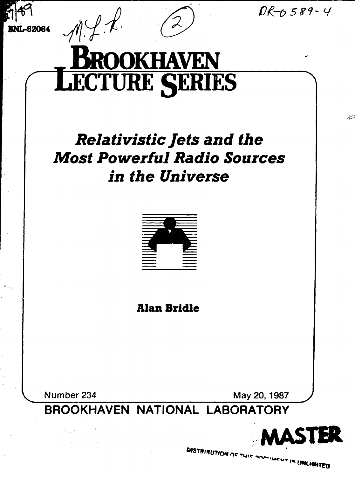$DR - 0.589 - 4$ 

يبيل

**BNL-52084**



# **Relativistic Jets and the** *Most Powerful Radio Sources in the Universe*



**Alan Bridle**

**Number 234 May 20, 1987** 

**BROOKHAVEN NATIONAL LABORATORY**



**DISTRIBUTION OF THIS POSTMENT IS UNCIMITED**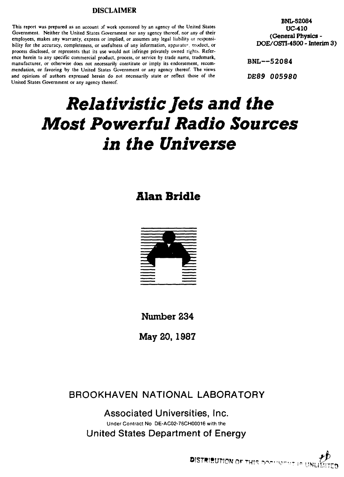#### **DISCLAIMER**

**This report was prepared as an account of work sponsored by an agency of the United States Government. Neither the United States Government nor any agency thereof, nor any of their employees, makes any warranty, express or implied, or assumes any legal liability or responsibility for the accuracy, completeness, or usefulness of any information, appaiatu<sup>c</sup> , moduct, or process disclosed, or represents that its use would not infringe privately owned rights. Reference herein to any specific commercial product, process, or service by trade name, trademark, manufacturer, or otherwise does not necessarily constitute or imply its endorsement, recommendation, or favoring by the United States Government or any agency thereof. The views and opinions of authors expressed herein do not necessarily state or reflect those of the United States Government or any agency thereof.**

**BNL-52084 UC-410 (General Physics - DOE/OSTC-4S00 - Interim 3)**

BNL—52084

DE89 005980

# *Relativistic Jets and the Most Powerful Radio Sources in the Universe*

### **Alan Bridle**



**Number 234**

**May 20, 1987**

**BROOKHAVEN NATIONAL LABORATORY**

**Associated Universities, Inc.** Under Contract No DE-AC02-76CH00016 with the **United States Department of Energy**

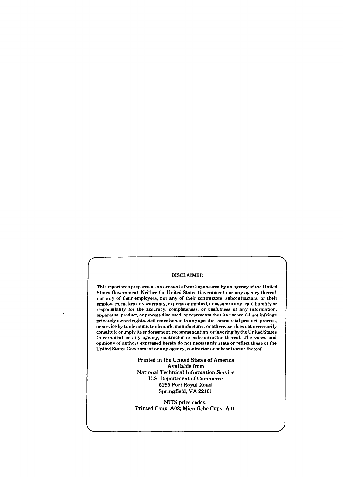#### DISCLAIMER

This report was prepared as an account of work sponsored by an agency of the United States Government. Neither the United States Government nor any agency thereof, nor any of their employees, nor any of their contractors, subcontractors, or their employees, makes any warranty, express or implied, or assumes any legal liability or responsibility for the accuracy, completeness, or usefulness of any information, apparatus, product, or process disclosed, or represents that its use would not infringe privately owned rights. Reference herein to any specific commercial product, process, or service by trade name, trademark, manufacturer, or otherwise, does not necessarily constitute or imply its endorsement, recommendation, or favoring by the United States Government or any agency, contractor or subcontractor thereof. The views and opinions of authors expressed herein do not necessarily state or reflect those of the United States Government or any agency, contractor or subcontractor thereof.

> Printed in the United States of America Available from National Technical Information Service U.S. Department of Commerce 5285 Port Royal Road Springfield, VA 22161

> NTIS price codes: Printed Copy: A02; Microfiche Copy: A01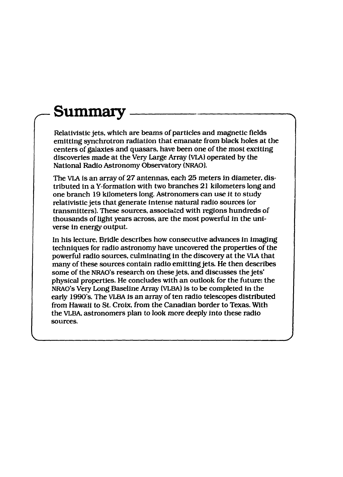## **Summary**

Relativistic jets, which are beams of particles and magnetic fields emitting synchrotron radiation that emanate from black holes at the centers of galaxies and quasars, have been one of the most exciting discoveries made at the Very Large Array (VLA) operated by the National Radio Astronomy Observatory (NRAO).

The VLA is an array of 27 antennas, each 25 meters in diameter, distributed in a Y-formation with two branches 21 kilometers long and one branch 19 kilometers long. Astronomers can use it *to* study relativistic jets that generate intense natural radio sources (or transmitters). These sources, associated with regions hundreds of thousands of light years across, are the most powerful in the universe in energy output.

In his lecture. Bridle describes how consecutive advances in imaging techniques for radio astronomy have uncovered the properties of the powerful radio sources, culminating in the discovery at the VLA that many of these sources contain radio emitting jets. He then describes some of the NRAO's research on these jets, and discusses the jets' physical properties. He concludes with an outlook for the future: the NRAO's Very Long Baseline Array (VLBA) is to be completed in the early 1990's. The VLBA is an array of ten radio telescopes distributed from Hawaii to St. Croix, from the Canadian border to Texas. With the VLBA, astronomers plan to look more deeply into these radio sources.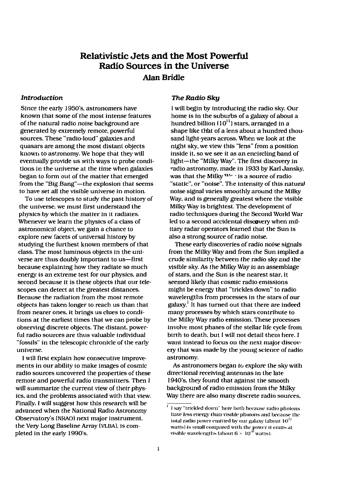### Relativistic Jets and the Most Powerful Radio Sources in the Universe Alan Bridle

#### *Introduction*

Since the early 1950's, astronomers have known that some of the most intense features of the natural radio noise background are generated by extremely remote, powerful sources. These "radio-loud" galaxies and quasars are among the most distant objects known to astronomy. We hope that they will eventually provide us with ways to probe conditions in the universe at the time when galaxies began to form out of the matter that emerged from the "Big Bang"—the explosion that seems to have set all the visible universe in motion.

To use telescopes to study the past history of the universe, we must first understand the physics by which the matter in it radiates. Whenever we learn the physics of a class of astronomical object, we gain a chance to explore new facets of universal history by studying the furthest known members of that class. The most luminous objects in the universe are thus doubly important to us—first because explaining how they radiate so much energy is an extreme test for our physics, and second because it is these objects that our telescopes can detect at the greatest distances. Because the radiation from the most remote objects has taken longer to reach us than that from nearer ones, it brings us clues to conditions at the earliest times that we can probe by observing discrete objects. The distant, powerful radio sources are thus valuable individual "fossils" in the telescopic chronicle of the early universe.

I will first explain how consecutive improvements in our ability to make images of cosmic radio sources uncovered the properties of these remote and powerful radio transmitters. Then 1 will summarize the current view of their physics, and the problems associated with that view. Finally, I will suggest how this research will be advanced when the National Radio Astronomy Observatory's (NRAO) next major instrument, the Very Long Baseline Array (VLBA). is completed in the early 1990's.

#### *The Radio Sky*

I will begin by introducing the radio sky. Our home is in the suburbs of a galaxy of about a hundred billion (10 $^{\text{11}}$ ) stars, arranged in a shape like that of a lens about a hundred thousand light-years across. When we look at the night sky, we view this "lens" from a position inside it, so we see it as an encircling band of light—the "Milky Way". The first discovery in radio astronomy, made in 1933 by Karl Jansky, was that the Milky  $W_1$  is a source of radio "static", or "noise". The intensity of this natural noise signal varies smoothly around the Milky Way, and is generally greatest where the visible Milky Way is brightest. The development of radio techniques during the Second World War led to a second accidental discovery when military radar operators learned that the Sun is also a strong source of radio noise.

These early discoveries of radio noise signals from the Milky Way and from the Sun implied a crude similarity between the radio sky and the visible sky. As the Milky Way is an assemblage of stars, and the Sun is the nearest star, it seemed likely that cosmic radio emissions might be energy that "trickles down" to radio wavelengths from processes in the stars of our galaxy.<sup>1</sup> It has turned out that there are indeed many processes by which stars contribute to the Milky Way radio emission. These processes involve most phases of the stellar life cycle from birth to death, but I will not detail them here. 1 want instead to focus on the next major discovery that was made by the young science of radio astronomy.

As astronomers began to explore the sky with directional receiving antennas in the late 1940"s. they found that against the smooth background of radio emission from the Milky Way there are also many discrete radio sources.

 $^1$  I say "trickled down" here both because radio photons have less energy than visible photons and because the total radio power emitted by our galaxy (about  $10^{32}$ watts) is small compared with the power it emits at visible wavelengths (about  $6 \times 10^{36}$  watts).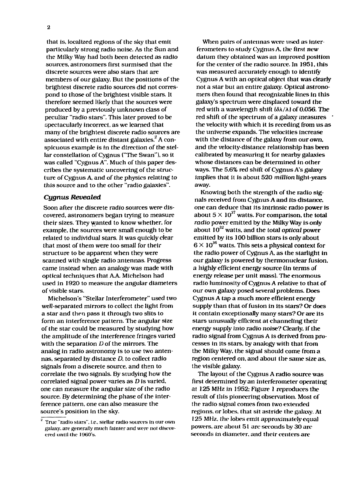that is, localized regions of the sky that emit particularly strong radio noise. As the Sun and the Milky Way had both been *detected* as radio sources, astronomers first surmised that the discrete sources were also stars that are members of our galaxy. But the positions of the brightest discrete radio sources did not correspond to those of the brightest visible stars. It therefore seemed likely that the sources were produced by a previously unknown class of peculiar "radio stars". This later proved *to* be spectacularly incorrect, as we learned that many of the brightest discrete radio sources are  $\alpha$  associated with entire distant galaxies.<sup>2</sup> A conspicuous example is in the direction of the stellar constellation of Cygnus ("The Swan"), so it was called "Cygnus A". Much of this paper describes the systematic uncovering of the structure of Cygnus A, and of the physics relating *to* this source and to the other "radio galaxies".

#### *Cygnus Revealed*

Soon after the discrete radio sources were discovered, astronomers began trying to measure their sizes. They wanted to know whether, for example, the sources were small enough to be related to individual stars. It was quickly clear that most of them were too small for their structure to be apparent when they were scanned with single radio antennas. Progress came instead when an analogy was made with optical techniques that AA Michelson had used in 1920 to measure the angular diameters of visible stars.

Michelson's "Stellar Interferometer" used two well-separated mirrors to collect the light from a star and then pass it through two slits to form an interference pattern. The angular size of the star could be measured by studying how the amplitude of the interference fringes varied with the separation *D* of the mirrors. The analog in radio astronomy is to use two antennas, separated by distance *D,* to collect radio signals from a discrete source, and then to correlate the two signals. By studying how the correlated signal power varies as D is varied, one can measure the angular size of the radio source. By determining the phase of the interference pattern, one can also measure the source's position in the sky.

When pairs of antennas were used as interferometers to study Cygnus A. the first new datum they obtained was an improved position for the center of the radio source. In 1951. this was measured accurately enough to identify Cygnus A with an optical object that was clearly not a star but an entire galaxy. Optical astronomers then found that recognizable lines in this galaxy's spectrum were displaced toward the red with a wavelength shift  $(\delta \lambda / \lambda)$  of 0.056. The red shift of the spectrum of a galaxy measures ' the velocity with which it is receding from us as the universe expands. The velocities increase with the distance of the galaxy from our own. and the velocity-distance relationship has been calibrated by measuring it for nearby galaxies whose distances can be determined in other ways. The 5.6% red shift of Cygnus A's galaxy implies that it is about 520 *million* light-years away.

Knowing both the strength of the radio signals received from Cygnus A and *its* distance, one can deduce that its intrinsic radio power is about  $5 \times 10^{37}$  watts. For comparison, the total *radio* power emitted by the Milky Way is only about 10<sup>32</sup> watts, and the total *optical* power emitted by its 100 billion stars is only about  $6 \times 10^{36}$  watts. This sets a physical context for the radio power of Cygnus A, as the starlight In our galaxy is powered by thermonuclear fusion, a highly efficient energy source (in terms of energy release per unit mass). The enormous radio luminosity of Cygnus A relative to that of our own galaxy posed several problems. Does Cygnus A tap a much more efficient energy supply than that of fusion in its stars? Or does it contain exceptionally many stars? Or are its stars unusually efficient at channeling their energy supply into radio noise? Clearly, if the radio signal from Cygnus A is derived from processes in its stars, by analogy with that from the Milky Way, the signal should come from a region centered on, and about the same size as, the visible galaxy.

The layout of the Cygnus A radio source was first determined by an interferometer operating at 125 MHz in 1952; Figure 1 reproduces the result of this pioneering observation. Most of the radio signal comes from two extended regions, or lobes, that sit astride the galaxy. At 125 MHz. the lobes emit approximately equal powers, are about 51 arc seconds by 30 arc seconds in diameter, and their centers are

<sup>2</sup>  True "radio slars". i.e.. stellar radio sources In our own galaxy, are generally much fainter and were not discovered until the 1960's.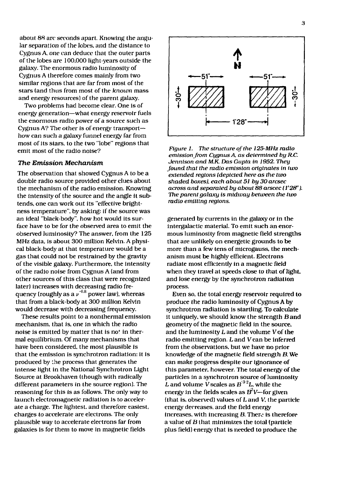about 88 arc seconds apart. Knowing the angular separation of the lobes, and the distance to Cygnus A. one can deduce that the outer parts of the lobes are 100,000 light-years outside the galaxy. The enormous radio luminosity of Cygnus A therefore comes mainly from two similar regions that are far from most of the stars (and thus from most of the *known* mass and energy resources) of the parent galaxy.

Two problems had become clear. One is of energy generation—what energy reservoir fuels the enormous radio power of a source such as Cygnus A? The other is of energy transport $$ how can such a galaxy funnel energy far from most of its stars, to the two "lobe" regions that emit most of the radio noise?

#### *The Emission Mechanism*

The observation that showed Cygnus A to be a double radio source provided other clues about the mechanism of the radio emission. Knowing the intensity of the source and the angle it subtends, one can work out its "effective brightness temperature", by asking: if the source was an ideal "black-body", how hot would its surface have to be for the observed area to emit the observed luminosity? The answer, from the 125 MHz data, is about 300 million Kelvin. A physical black-body at that temperature would be a gas that could not be restrained by the gravity of the visible galaxy. Furthermore, the intensity of the radio noise from Cygnus A (and from other sources of this class that were recognized later) increases with decreasing radio frequency (roughly as a  $v^{-0.8}$  power law), whereas that from a black-body at 300 million Kelvin would decrease with decreasing frequency. would decrease with decreasing frequency.

These results point to a nonthermal emission mechanism, that is, one in which the radio noise is emitted by matter that is not in thermal equilibrium. Of many mechanisms that have been considered, the most plausible is that the emission is synchrotron radiation: it is produced by the process that generates the intense light in the National Synchrotron Light Source at Brookhaven (though with radically different parameters in the source region). The reasoning for this is as follows. The only way to launch electromagnetic radiation is to accelerate a charge. The lightest, and therefore easiest, charges to accelerate are electrons. The only plausible way to accelerate electrons far from galaxies is for them to move in magnetic fields



*Figure 1. The structure of the 125-MHz radio emission from Cygnus A, as determined by R.C. Jennisonand M.K. Das Gupta in 1952. They Jound that the radio emission originates in two extended regions (depicted here as the two shaded boxes), each about 51 by 30 arcsec across and separated by about 88 arscec II'28'). The parent galaxy is midway between the two radio emitting regions.*

generated by currents in the galaxy or in the intergalactic material. To emit such an enormous luminosity from magnetic field strengths that are unlikely on energetic grounds to be more than a few tens of microgauss. the mechanism must be highly efficient. Electrons radiate most efficiently in a magnetic field when they travel at speeds close *to* that of light, and lose energy by the synchrotron radiation process.

Even so, the total energy reservoir required to produce the radio luminosity of Cygnus A by synchrotron radiation is startling. To calculate it uniquely, we should know the strength B and geometry of the magnetic field in the source, and the luminosity  $L$  and the volume  $V$  of the radio emitting region.  $L$  and  $V$  can be inferred from the observations, but we have no prior knowledge of the magnetic field strength *B.* We can make progress despite our ignorance of this parameter, however. The total energy of the particles in a synchrotron source of luminosity L and volume V scales as  $B^{-3/2}L$ , while the energy in the fields scales as  $B<sup>2</sup>V$ —for given (that is, observed) values of L and V, the particle energy decreases, and the field energy increases, with increasing *B.* There is therefore a value of B that minimizes the total (particle plus field) energy that is needed to produce the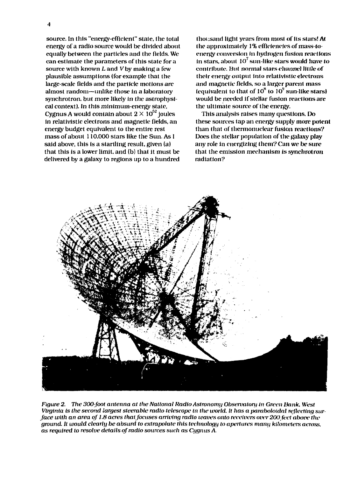$\overline{\mathbf{4}}$ 

source. In this "energy-efficient" stale, the total energy of a radio source would be divided about equally between the particles and the fields. We can estimate the parameters of this state for a source with known  $L$  and  $V$  by making a few plausible assumptions (for example that the large-scale fields and the particle motions are almost random—unlike those in a laboratory synchrotron, but more likely in the astrophysical context). In this minimum-energy state, Cygnus A would contain about  $2\times 10^{52}$  joules in relativistic electrons and magnetic fields, an energy budget equivalent to the entire rest mass of about 110,000 stars like the Sun. As I said above, this is a startling result, given (a) that this is a lower limit, and (b) that it must be delivered by a galaxy to regions up to a hundred thousand light years from most of its stars! A( the approximately 1% efficiencies of mass-toenergy conversion in hydrogen fusion reactions in stars, about  $10^7\,\mathrm{sun}$  like stars would have to contribute. *Hut* normal stars channel little of their energy output into relativistic electrons and magnetic fields, so a larger parent mass (equivalent to that of  $10^8$  to  $10^9$  sun-like stars) would be needed if stellar fusion reactions are the ultimate source of the energy.

This analysis raises many questions. Do these sources tap an energy supply more potent than that of thermonuclear fusion reactions? Does the stellar population of the galaxy play any role in energizing (hem? Can we be sure that the emission mechanism is synchrotron radiation?



*Figure 2. The 300-foot antenna at the National Radio Astronomy Olxwrvalory in Green liank. West Virginia is the second largest steerable radio telescope in the world. It has a paraboloidal reflecting surface with an area of 1.8 acres thatjocuses arriving radio waves onto receivers over 200fvet above the ground. It ivould clearly be absurd to extraixilate this technology lo apertures many kilometers* across. *as required to resolve details of radio sources such as Cygnus A.*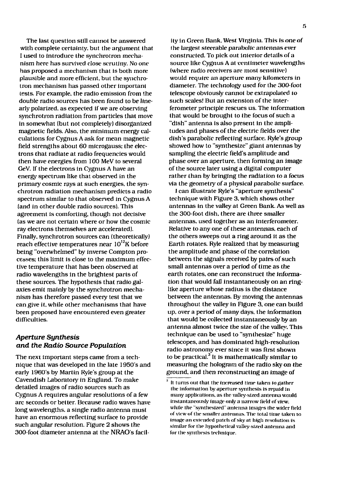The last question still cannot be answered with complete certainty, but the argument that I used to introduce the synchrotron mechanism here has survived dose scrutiny. No one has proposed a mechanism that is both more plausible and more efficient, but the synchrotron mechanism has passed other important tests. For example, the radio emission from (he double radio sources has been found to be linearly polarized, as expected if we are observing synchrotron radiation from particles that move in somewhat (but not completely) disorganized magnetic fields. Also, the minimum energy calculations for Cygnus A ask for mean magnetic field strengths about 60 microgauss: the electrons that radiate at radio frequencies would then have energies from 100 MeV to several GeV. If the electrons in Cygnus A have an energy spectrum like that observed in the primary cosmic rays at such energies, the synchrotron radiation mechanism predicts a radio spectrum similar *to* that observed in Cygnus A (and in other double radio sources). This agreement is comforting, though not decisive (as we are not certain where or how the cosmic ray electrons themselves are accelerated). Finally, synchrotron sources can (theoretically) reach effective temperatures near  $10^{12}$ K before being "overwhelmed" by inverse Compton processes; this limit is close to the maximum effective temperature that has been observed at radio wavelengths in the brightest parts of these sources. The hypothesis that radio galaxies emit mainly by the synchrotron mechanism has therefore passed every test that we can give it, while other mechanisms that have been proposed have encountered even greater difficulties.

#### *Aperture Synthesis and the Radio Source Population*

The next important steps came from a technique that was developed in the late 1950's and early 1960's by Martin Ryle's group at the Cavendish Laboratory in England. To make detailed images of radio sources such as Cygnus A requires angular resolutions of a few arc seconds or better. Because radio waves have long wavelengths, a single radio antenna must have an enormous reflecting surface to provide such angular resolution. Figure 2 shows the 300-foot diameter antenna at the NRAO's facil-

ity in Green Bank, West Virginia. This Is *one of* the largest steerable parabolic antennas ever constructed. To pick out interior details of a source like Cygnus A at centimeter wavelengths (where radio receivers are most sensitive) would require an aperture many kilometers in diameter. The technology used for the 300-foot telescope obviously cannot be extrapolated to such scales! But an extension of the interferometer principle rescues us. The information that would be brought to the focus of such a "dish" antenna is also present in the amplitudes and phases of the electric fields over the dish's parabolic reflecting surface. Ryle's group showed how to "synthesize" giant antennas by sampling the electric field's amplitude and phase over an aperture, then forming an image of the source later using a digital computer rather than by bringing the radiation to a focus via the geometry of a physical parabolic surface.

I can illustrate Ryle's "aperture synthesis" technique with Figure 3, which shows other antennas in the valley at Green Bank. As well as the 300-foot dish, there are three smaller antennas, used together as an interferometer. Relative to any one of these antennas, each of the others sweeps out a ring around it as the Earth rotates. Ryle realized that by measuring the amplitude and phase of the correlation between the signals received by pairs of such small antennas over a period of time as the earth rotates, one can reconstruct the information that would fall instantaneously on an ringlike aperture whose radius is the distance between the antennas. By moving the antennas throughout the valley in Figure 3, one can build up, over a period of many days, the information that would be collected instantaneously by an antenna almost twice the size of the valley. This technique can be used to "synthesize" huge telescopes, and has dominated high-resolution radio astronomy ever since it was first shown radio astronomy ever since it was modellated.<br>to be practical.<sup>3</sup> It is mathematically similar to measuring the hologram of the radio sky on the ground, and then reconstructing an image of

 $\overline{3}$ It turns out that the increased time taken to gather the information by aperture synthesis is repaid in many applications, as the valley-sized antenna would instantaneously image only a narrow field of view, while the "synthesized" antenna images (he wider field of view of the smaller antennas. The total time taken to image an extended patch of sky at high resolution is similar for the hypothetical valley-sized antenna and for the synthesis technique.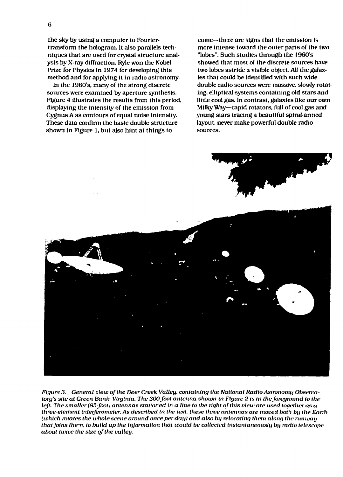6

the sky by using a computer to Fouriertransform the hologram. It also parallels techniques that are used for crystal structure analysis by X-ray diffraction. Ryle won the Nobel Prize for Physics in 1974 for developing this method and for applying it in radio astronomy.

In the 1960's, many of the strong discrete sources were examined by aperture synthesis. Figure 4 illustrates the results from this period, displaying the intensity of the emission from Cygnus A as contours of equal noise intensity. These data confirm the basic double structure shown in Figure 1, but also hint at things to

come—there are signs that the emission is more intense toward the outer parts of the two "lobes". Such studies through the 1960's showed that most of the discrete sources have two lobes astride a visible object. All the *galaxies* that could be identified with such wide double radio sources were massive, slowly rotating, elliptical systems containing old stars and little cool gas. In contrast, galaxies like our own Milky Way—rapid rotators, full of cool gas and young stars tracing a beautiful spiral-armed layout, never make powerful double radio sources.



*Figure 3. General view of the Deer Creek Valley, containing the National Radio Astronomy Observatory's site at Green Bank, Virginia. The 300-foot antenna shown in Figure 2 is in the foreground to the left. The smaller (85-foot) antennas stationed in a line to the right of this view are used together as a three-element interferometer. As described in the text, these three antennas are moved both by the Earth (which rotates the whole scene around once per day) and also by relocating them along the runway that joins them, to build up the Uijormation that tvould be collected instantaneously by radio telescope about twice the size of the valley.*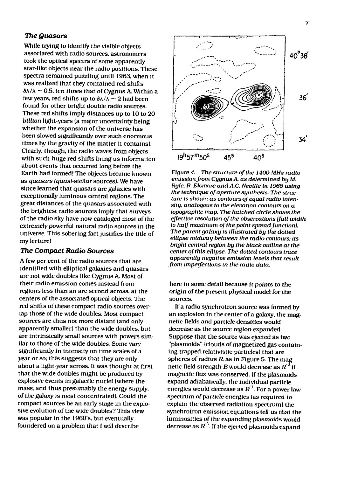#### *The Quasars*

While trying *to* identify the visible objects associated with radio sources, astronomers took the optical spectra of some apparently star-like objects near the radio positions. These spectra remained puzzling until 1963, when *it* was realized that they contained red shifts  $\delta \lambda / \lambda \sim 0.5$ , ten times that of Cygnus A. Within a few years, red shifts up to  $\delta\lambda/\lambda \sim 2$  had been found for other bright double radio sources. These red shifts Imply distances up to 10 to 20 *billion* light-years (a major uncertainty being whether the expansion of the universe has been slowed significantly over such enormous times by the gravity of the matter it contains). Clearly, though, the radio waves from objects with such huge red shifts bring us information about events that occurred long before the Earth had formed! The objects became known as *quasars (quasi-stellar sources).* We have since learned that quasars are galaxies with exceptionally luminous central regions. The great distances of the quasars associated with the brightest radio sources imply that surveys of the radio sky have now cataloged most of the extremely powerful natural radio sources in the universe. This sobering fact justifies the title of my lecture!

#### *The Compact Radio Sources*

*A* few per cent of the radio sources that are identified with elliptical galaxies and quasars are not wide doubles like Cygnus A. Most of their radio emission comes instead from regions less than an arc second across, at the centers of the associated optical objects. The red shifts of these compact radio sources overlap those of the wide doubles. Most compact sources are thus not more distant (and only apparently smaller) than the wide doubles, but are intrinsically small sources with powers similar *to* those of the wide doubles. Some vary significantly in intensity on time scales of a year or so; this suggests that they are only about a light-year across. It was thought at first that the wide doubles might be produced by explosive events in galactic nuclei (where the mass, and thus presumably the energy supply, of the galaxy is most concentrated). Could the compact sources be an early stage in the explosive evolution of the wide doubles? This view was popular in the 1960's. but eventually foundered on a problem that *I* will describe



*Figure 4. The structure of the 1400MHz radio emissionfrom Cygnus* A *as determined by M. Ryle, B. Elsmore andA.C. Neville in 1965 using the technique of aperture synthesis. The structure is shown as contours of equal radio intensity, analogous to the elevation contours on a topographic map. The hatched circle shows the effective resolution of the observations [full width to half maximum of the point spread function). The parent galaxy Is illustrated by the dotted ellipse midway between the radio contours; its bright central region by the black outline at the center of this ellipse. The dotted contours trace apparently negative emission levels that result from imperfections in the radio data.*

here in some detail because it points to the origin *of* the present physical model for the sources.

If a radio synchrotron source was formed by an explosion in the center of a galaxy, the magnetic fields and particle densities would decrease as the source region expanded. Suppose that the source was ejected as two "plasmoids" (clouds of magnetized gas containing trapped relativistic particles) that are spheres of radius *R.* as in Figure 5. The magnetic field strength *B*would decrease as *R<sup>2</sup>* if magnetic flux was conserved. If the plasmoids expand adiabatically, the individual particle energies would decrease as  $R<sup>1</sup>$ . For a power law spectrum of particle energies (as required to explain the observed radiation spectrum) the synchrotron emission equations tell us that the luminosities of the expanding plasmoids would decrease as  $R<sup>5</sup>$ . If the ejected plasmoids expand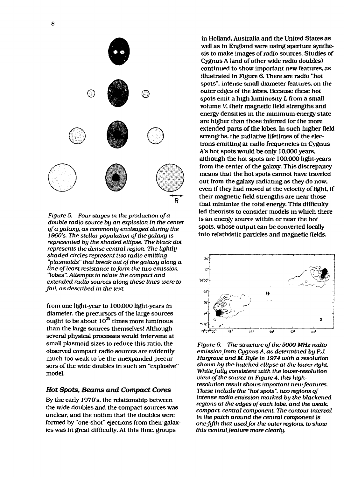

*Figure 5. Four stages in the production of a double radio source by an explosion in the center of a galaxy, as commonly envisaged during the* 1960's. The stellar population of the galaxy is *represented by the shaded ellipse. The black dot represents the dense central region. The lightly shaded circles represent two radio emitting "plasmoids" that break out of the galaxy along a line of least resistance to form the two emission "lobes". Attempts to relate the compact and extended mdio sources along these lines were to fail, as described in the text.*

from one light-year to 100.000 light-years in diameter, the precursors of the large sources ought to be about  $10^{25}$  times more luminous than the large sources themselves! Although several physical processes would intervene at small plasmoid sizes to reduce this ratio, the observed compact radio sources are evidently much too weak to be the unexpanded precursors of the wide doubles in such an "explosive" model.

#### *Hot Spots, Beams and Compact Cores*

By the early 1970's, the relationship between the wide doubles and the compact sources was unclear, and the notion that the doubles were formed by "one-shot" ejections from their galaxies was in great difficulty. At this time, groups

in Holland, Australia and the United States as well as in England were using aperture synthesis to make images of radio sources. Studies of Cygnus A (and of other wide radio doubles) continued to show important new features, as illustrated in Figure 6. There are radio "hot spots", intense small diameter features, on the outer edges of the lobes. Because these hot spots emit a high luminosity *L* from a small volume V, their magnetic field strengths and energy densities in the minimum-energy state are higher than those inferred for the more extended parts of the lobes. In such higher field strengths, the radiative lifetimes of the electrons emitting at radio frequencies in Cygnus A's hot spots would be only 10.000 years, although the hot spots are 100,000 light-years from the center of the galaxy. This discrepancy means that the hot spots cannot have traveled out from the galaxy radiating as they do now, even if they had moved at the velocity of light, if their magnetic field strengths are near those that minimize the total energy. This difficulty led theorists to consider models in which there is an energy source within or near the hot spots, whose output can be converted locally into relativistic particles and magnetic fields.



*Figure 6. The structure of the 5000-MHz radio emissionfrom Cygnus A as determined by PJ. Hargrove and M. Ryle in 1974 with a resolution shown by the hatched ellipse at the lower right While fully consistent with the lower-resolution view of the source in Figure 4, this highresolution result shows important newfeatures. These include the "hot spots", two regions of intense radio emission marked by the blackened regions at the edges of each lobe, and the weak, compact central component The contour interval in the patch around the central component is one-fifth that usedfor the outer regions, to show this central feature more clearly.*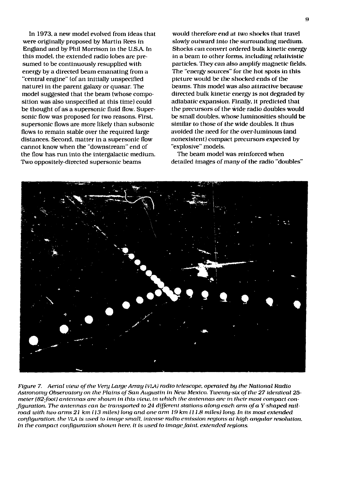In 1973, a new model evolved from ideas (hat were originally proposed by Martin Rees in England and by Phil Morrison in the U.S.A. In this model, the extended radio lobes are presumed to be continuously resupplied with energy by a directed beam emanating from a "central engine" (of an initially unspecified nature) in the parent galaxy or quasar. The model suggested that the beam (whose composition was also unspecified at this time) could be thought of as a supersonic fluid flow. Supersonic flow was proposed for two reasons. First, supersonic flows are more likely than subsonic flows to remain stable over the required large distances. Second, matter in a supersonic flow cannot know when the "downstream" end of the flow has run into the intergalactic medium. Two oppositely-directed supersonic beams

would therefore end at two shocks that travel slowly outward into the surrounding medium. Shocks can convert ordered bulk kinetic energy in a beam to other forms, including relalivistic particles. They can also amplify magnetic fields. The "energy sources" for the hot spots in this picture would be the shocked ends of the beams. This model was also attractive because directed bulk kinetic energy is not degraded by adiabatie expansion. Finally, it predicted that the precursors of the wide radio doubles would be small doubles, whose luminosities should be similar to those of the wide doubles. It thus avoided the need for the over-luminous (and nonexistent) compact precursors expected by "explosive" models.

The beam mode] was reinforced when detailed images of many of the radio "doubles"



*Figure 7. Aerial view of the Very Large Array (V1JK) radio telescope, operated by the National Radio Astronomy Observatory on the Plains of San Augustin in New Mexico. Twenty-six of the 27 identical 25 meter (82-foot) antennas are shown in this view, in which the antennas are in their most compact con-Jiguration. The antennas can be transported to 24 different stations along each arm of a Y-shaped railroad with two arms 21 km (13 miles) long and one arm 19 km (11.8 miles) long. In its most extended configuration, the VLA is used to image small, intense radio emission regions at high angular resolution. In the compact configuration shown here, it is used to image faint, extended regions.*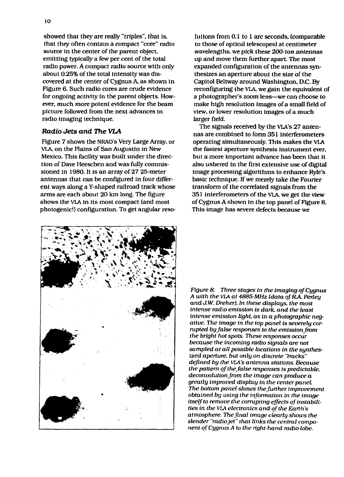showed that they are really "triples", that is. that they often contain a compact "core" radio source in the center of the parent object, emitting typically a few per cent of the total radio power. A compact radio source with only about 0.25% of the total intensity was discovered at the center of Cygnus A. as shown in Figure 6. Such radio cores are crude evidence for ongoing activity in the parent objects. However, much more potent evidence for the beam picture followed from the next advances in radio imaging technique.

#### **Radio** *Jets and The VLA*

Figure 7 shows the NRAO's Very Large Array, or VLA, on the Plains of San Augustin in New Mexico. This facility was built under the direction of Dave Heeschen and was fully commissioned in 1980. It is an array of 27 25-meter antennas that can be configured in four different ways along a Y-shaped railroad track whose arms are each about 20 km long. The figure shows the VIA in its most compact (and most photogenic!) configuration. To get angular reso-

lutions from 0.1 to 1 arc seconds, (comparable to those of optical telescopes) at centimeter wavelengths, we pick these 200-ton antennas up and move them further apart. The most expanded configuration of the antennas synthesizes an aperture about the size of the Capitol Beltway around Washington. D.C. By reconfiguring the VIA, we gain the equivalent of a photographer's zoom lens—we can choose to make high resolution images of a small field of view, or lower resolution images of a much larger field.

The signals received by the VLA'S 27 antennas are combined to form 351 interferometers operating simultaneously. This makes the VLA the fastest aperture synthesis instrument ever, but a more important advance has been that it also ushered in the first extensive use of digital image processing algorithms to enhance *Ryle's* basic technique. If we merely take the Fourier transform of the correlated signals from the 351 interferometers of the VLA, we get the view of Cygnus A shown in the top panel of Figure 8. This image has severe defects because we



*Figure 8. Three stages in the imaging of Cygnus A with the VIA at 4885-MHz (data oJRA. Perley and J.W. Dreher). In these displays, the most intense radio emission is dark, and the least* intense *emission light as in a photographic negative. The image in the top panel is severely corrupted by false responses to the emission from the bright hot spots. These responses occur because the incoming radio signals are not sampled at all possible locations in the synthesized aperture, but only on discrete "tracks" defined by the VLA's antenna stations. Because the pattern of the false responses is predictable, deconvolution from the image can produce a greatly improved display in the center panel The bottom panel shows the further improvement obtained by using the iiifonnation in the image itself to remove the corrupting effects of instabilities in the VIA electronics and of the Earth's atmosphere. The final image clearly shows the slender "radiojet" that links the central component of Cygnus A to the right-hand radio lobe.*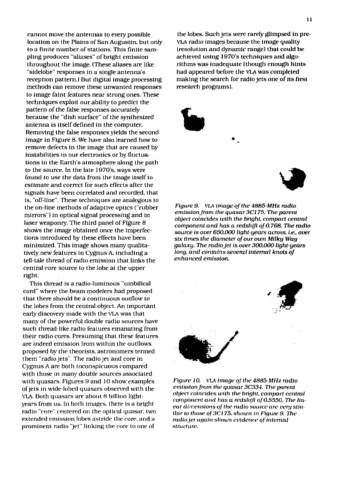cannot move the antennas to every possible location on the Plains of San Augustin, but only to a finite number of stations. This finite sampling produces "aliases" of bright emission throughout the image. (These aliases are like "sidelobe" responses in a single antenna's reception pattern.) But digital image processing methods can remove these unwanted responses to image faint features near strong ones. These techniques exploit our ability to predict the pattern of the false responses accurately because the "dish surface" of the synthesized antenna is itself defined in the computer. Removing the false responses yields the second image in Figure 8. We have also learned how to remove defects in the image that are caused by instabilities in our electronics or by fluctuations in the Earth's atmosphere along the path to the source. In the late 1970's. ways were found to use the data from the image itself to estimate and correct for such effects after the signals have been correlated and recorded, that is, "off-line". These techniques are analogous to the on-line methods of adaptive optics ("rubber mirrors") in optical signal processing and in laser weaponry. The third panel of Figure 8 shows the image obtained once the imperfections introduced by these effects have been minimized. This image shows many qualitatively new features in Cygnus A, including a tell-tale thread of radio emission that links the centra] core source to the lobe at the upper right.

This thread is a radio-luminous "umbilical cord" where the beam modelers had proposed that there should be a continuous outflow to the lobes from the central object. An important early discovery made with the VL.A was that many of the powerful double radio sources have such thread-like radio features emanating from their radio cores. Presuming that these features are indeed emission from within the outflows proposed by the theorists, astronomers termed them "radio jets". The radio jet and core in Cygnus A are both inconspicuous compared with those in many double sources associated with quasars. Figures 9 and 10 show examples of jets in wide-Iobed quasars observed with the VLA. Both quasars are about 8 billion lightyears from us. In both images, there is a bright radio "core" centered on the optical quasar, two extended emission lobes astride the core, and a prominent radio "jet" linking the core to one of

the lobes. Such jets were rarely glimpsed in **pre-**VLA radio images because the image quality (resolution and dynamic range) that could be achieved using 1970's techniques and algorithms was inadequate (though enough hints had appeared before the VLA was completed making the search for radio jets one of its first research programs).



*Figure 9. VLA i mage of the 4885-MHz radio emission from the quasar 3C175. The parent object coincides with the bright, compact central component and has a redshift of 0.768. The radio source is over 650.000 light-years across. i.e., over six times the diameter of our own Milky Way galaxy. The radio jet is over 300.000 light-years long, and contains several internal knots of enhanced emission.*



*Figure 10.* VLA *image of the 4885-MHz radio emission from the quasar 3C334. The parent object coincides with the bright, compact central component and has a redshift of 0.5550. The linear dimensions of the radio source are very similar to those of3Cl 75. shown in Figure 9. the radio jet again shows evidence of internal structure.*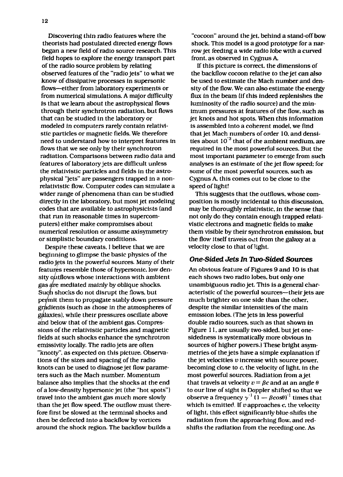Discovering thin radio features where the theorists had postulated directed energy flows began a new field of radio source research. This field hopes to explore the energy transport part of the radio source problem by relating observed features of the "radio jets" to what we know of dissipative processes in supersonic flows—either from laboratory experiments or from numerical simulations. A major difficulty is that we learn about the astrophysical flows through their synchrotron radiation, but flows that can be studied in the laboratory or modeled in computers rarely contain relativistic particles or magnetic fields. We therefore need to understand how to interpret features in flows that we see only by their synchrotron radiation. Comparisons between radio data and features of laboratory jets are difficult unless the relativistic particles and fields in the astrophysical "jets" are passengers trapped in a nonrelativistic flow. Computer codes can simulate a wider range of phenomena than can be studied directly in the laboratory, but most jet modeling codes that are available to astrophysicists (and that run in reasonable times in supercomputers) either make compromises about numerical resolution or assume axisymmetry or simplistic boundary conditions.

Despite these caveats, I believe that we are beginning to glimpse the basic physics of the radio jets in the powerful sources. Many of their features resemble those of hypersonic, low density outflows whose interactions with ambient gas  $\frac{d}{dt}$  mediated mainly by oblique shocks. Such shocks do not disrupt the flows, but peymit them to propagate stably down pressure gradients (such as those in the atmospheres of galaxies), while their pressures oscillate above and below that of the ambient gas. Compressions of the relativistic particles and magnetic fields at such shocks enhance the synchrotron emissivity locally. The radio jets are often "knotty", as expected on this picture. Observations of the sizes and spacing of the radio knots can be used to diagnose jet flow parameters such as the Mach number. Momentum balance also implies that the shocks at the end of a low-density hypersonic jet (the "hot spots") travel into the ambient gas much more slowly than the jet flow speed. The outflow must therefore first be slowed at the terminal shocks and then be deflected into a backflow by vortices around the shock region. The backflow builds a

"cocoon" around the jet, behind a stand-off bow shock. This model is a good prototype for a narrow jet feeding a wide radio lobe with a curved front, as observed in Cygnus A.

If this picture is correct, the dimensions of the backflow cocoon relative to the jet can also be used to estimate the Mach number and density of the flow. We can also estimate the energy flux in the beam (if this indeed replenishes the luminosity of the radio source) and the minimum pressures at features of the flow, such as jet knots and hot spots. When this information is assembled into a coherent model, we find that jet Mach numbers of order 10. and densities about 10 <sup>3</sup> that of the ambient medium, are required in the most powerful sources. But the most important parameter to emerge from such analyses is an estimate of the jet flow speed: for some of the most powerful sources, such as Cygnus A, this comes out to be close to the speed of light!

This suggests that the outflows, whose composition is mostly incidental to this discussion, may be thoroughly relativistic. in the sense that not only do they contain enough trapped relativistic electrons and magnetic fields to make them visible by their synchrotron emission, but the flow itself travels out from the galaxy at a velocity close to that of light.

#### **One-Sided** *Jets In Two-Sided Sources*

An obvious feature of Figures 9 and 10 is that each shows two radio lobes, but only one unambiguous radio jet. This is a general characteristic of the powerful sources—their jets are much brighter on one side than the other, despite the similar intensities of the main emission lobes. (The jets in less powerful double radio sources, such as that shown in Figure 11, are usually two-sided, but jet onesidedness is systematically more obvious in sources of higher powers.) These bright asymmetries of the jets have a simple explanation if the jet velocities *v* increase with source power, becoming close to c. the velocity of light, in the most powerful sources. Radiation from a jet that travels at velocity  $v = \beta c$  and at an angle  $\theta$ to our line of sight is Doppler shifted so that we observe a frequency  $\gamma^{-1}(1 - \beta cos\theta)^{-1}$  times that which is emitted. If *v* approaches *c*, the velocity of light, this effect significantly blue-shifts the radiation from the approaching flow, and redshifts the radiation from the receding one. As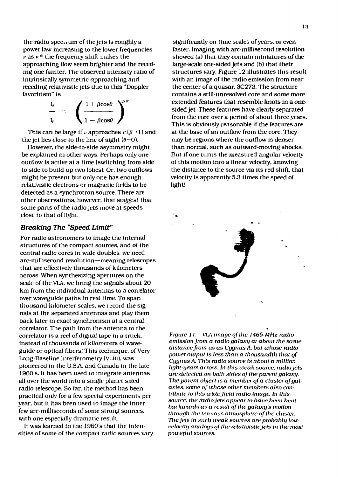the radio specuum of the jets is roughly a power law increasing to the lower frequencies  $\overline{\nu}$  as  $\nu$  <sup> $\alpha$ </sup> the frequency shift makes the approaching flow seem brighter and the receding one fainter. The observed intensity ratio of intrinsically symmetric approaching and receding relativistic jets due to this "Doppler favoritism" is

|  | $+\beta$ cos $\theta$                         |   |
|--|-----------------------------------------------|---|
|  |                                               |   |
|  | $\beta cos\theta$<br>$\overline{\phantom{a}}$ | I |

This can be large if v approaches  $c(\beta \rightarrow 1)$  and the jet lies close to the line of sight  $(\theta \rightarrow 0)$ .

However, the side-to-side asymmetry might be explained in other ways. Perhaps only one outflow is active at a time (switching from side to side to build up two lobes). Or. two outflows might be present but only one has enough relativistic electrons or magnetic fields to be detected as a synchrotron source. There are other observations, however, that suggest that some parts of the radio jets *move* at speeds close to that of light.

#### *Breaking The "Speed Limit"*

For radio astronomers to image the internal structures of the compact sources, and of the central radio cores in wide doubles, we need arc-millisecond resolution—meaning telescopes that are effectively thousands of kilometers across. When synthesizing apertures on the scale of the VLA, we bring the signals about 20 km from the individual antennas to a correlator over waveguide paths in real time. To span thousand-kilometer scales, we record the signals at the separated antennas and play them back later in exact synchronism at a central correlator. The path from the antenna to the correlator is a reel of digital tape in a truck, instead of thousands of kilometers of waveguide or optical fibers! This technique, of Very-Long-Baseline Interferometry (VLBI). was pioneered in the USA. and Canada in the late 1960's. It has been used to integrate antennas all over the world into a single planet-sized radio telescope. So far, the method has been practical only for a few special experiments per year, but it has been used to image the inner few arc-milliseconds of some strong sources, with one especially dramatic result.

It was learned in the 1960's that the intensities of some of the compact radio sources vary

significantly on time scales of years, or even faster. Imaging with arc-millisecond resolution showed (a) that they contain miniatures of the large-scale one-sided jets and (b) that their structures vary. Figure 12 illustrates this result with an image of the radio emission from near the center of a quasar. 3C273. The structure contains a still-unresolved core and some *more* extended features that resemble knots in a onesided jet. These features have clearly separated from the core over a period of about three years. This is obviously reasonable if the features are at the base of an outflow from the core. They may be regions where the outflow is denser than normal, such as outward-moving shocks. But if one turns the measured angular velocity of this motion into a linear velocity, knowing the distance to the source via its red shift, that velocity is apparently 5.3 times the speed of light!



*Figure 11. VIA image of the 1465-MHz radio emission from a radio galaxy at about the same distance from us as CygnusA. but whose radio power output is less than a thousandth that of CygnusA. This radio source is about a million light-years across. In this weak source, radio jets are delected on both sides of the parent galaxy. The parent object is a member of a cluster of galaxies, some of whose other* members *also contribute to this wide-field radio image. In this source, the radio Jets appear to have been bent backwards as a result of the galaxy's inotion through the tenuous atmosphere of the cluster. The jets in such weak sources are probably lowvelocity analogs of the relativistic jets in the most powerful sources.*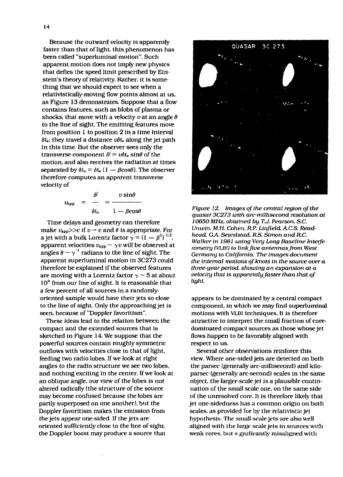Because the outward velocity is apparently faster than that of light, this phenomenon has been called "superluminal motion". Such apparent motion does not imply new physics that defies the speed limit prescribed by Einstein's theory of relativity. Rather, it is something that we should expect to see when a relativistically-moving flow points almost at us. as Figure 13 demonstrates. Suppose that a flow contains features, such as blobs of plasma or shocks, that move with a velocity *u* at an angle *6* to the line of sight. The emitting features move from position 1 to position 2 in a time interval *8U;* they travel a distance *vSU* along the jet path in this time. But the observer sees only the transverse component  $\delta^{\parallel} = v \delta t_e$  sin $\theta$  of the motion, and also receives the radiation at times separated by  $\delta t_0 = \delta t_e (1 - \beta cos \theta)$ . The observer therefore computes an apparent transverse velocity of

$$
v_{app} = \frac{\delta^{l}}{\delta t_{o}} = \frac{v \sin \theta}{1 - \beta \cos \theta}
$$

Time delays and geometry can therefore make  $v_{app}$ >>c if  $v \rightarrow c$  and  $\theta$  is appropriate. For a jet with a bulk Lorentz factor  $\gamma = (1 - \beta^2)^{-1/2}$ . apparent velocities  $v_{app} \sim \gamma v$  will be observed at angles  $\theta \sim \gamma^{-1}$  radians to the line of sight. The apparent superluminal motion in 3C273 could therefore be explained If the observed features are moving with a Lorentz factor  $\gamma \sim 5$  at about 10° from our line of sight. It is reasonable that a few percent of all sources in a randomlyoriented sample would have their jets so close to the line of sight. Only the approaching jet is seen, because of "Doppler favoritism".

These ideas lead to the relation between the compact and the extended sources that is sketched in Figure 14. We suppose that the powerful sources contain roughly symmetric outflows with velocities close to that of light, feeding two radio lobes. If we look at right angles to the radio structure we see two lobes, and nothing exciting in the center. If we look at an oblique angle, our view of the lobes is not altered radically (the structure of the source may become confused because the lobes are partly superposed on one another), but the Doppler favoritism makes the emission from the jets appear one-sided. If the jets are oriented sufficiently close to the line of sight, the Doppler boost may produce a source that



*Figure 12. Images of the central region of the quasar 3C273 with arc-millisecond resolution at 10650 MHz, obtained by T.J. Pearson. S.C. Unwin. M.H. Cohen. R.P. Linfield. ACS. Readhead. GA. Seieslstad. R.S. Simon and R.C. Walker in 1981 using Very Long Baseline Interferometry (VLB1) to link Jive antennas from West Germany to California. The images document the internal motions of knots in the source over a three-year period, showing an expansion at a velocity that is apparentlyj'aster than that of light.*

appears to be dominated by a central compact component, in which we may find superluminal motions with VLBI techniques. It is therefore attractive to interpret the small fraction of coredominated compact sources as those whose jet flows happen to be favorably aligned with respect to us.

Several other observations reinforce this view. Where one-sided jets are detected on both the parsec (generally arc-millisecond) and kiloparsec (generally arc-second) scales in the same object, the larger-scale jet is a plausible continuation of the small scale one, on the same side of the unresolved core. It is therefore likely that jet one-sidedness has a common origin on both scales, as provided for by the relativistic jet hypothesis. The small-scale jets are also well aligned with the large scale jets in sources with weak cores, but s.gnificantly misaligned with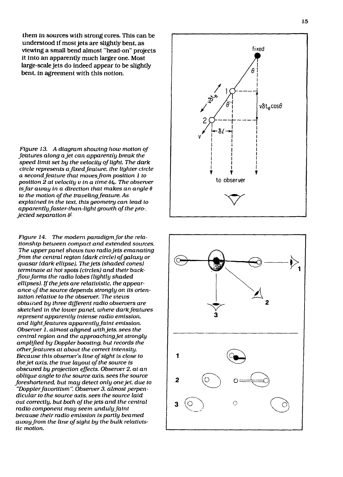them in sources with strong cores. This can be understood if most jets are slightly bent, as viewing a small bend almost "head-on" projects it into an apparently much larger one. Most large-scale jets do indeed appear to be slightly bent, in agreement with this notion.

*Figure 13. A diagram showing how motion of features along a jet can apparently break the speed limit set by the velocity of light. The dark circle represents a fixed feature, the lighter circle a second feature that moves from position 1 to* position 2 at velocity v in a time  $\delta t_{\rm e}$ . The observer *is far away in a direction that makes an angle 8 to the motion of the traveling feature. As explained in the text this geometry can lead to apparently faster-than-light growth of the pro-, jected separation*  $\delta^{\ell}$ .

*Figure 14. The modern paradigm for the relationship between compact and extended sources. The upper panel shows two radio jets emanating from the central region (dark circle) of galaxy or quasar (dark ellipse). The jets (shaded cones) terminate at hot spots (circles) and their backflow forms the radio lobes (lightly shaded ellipses). If the jets are relativistic, the appearance of the source depends strongly on its orientation relative to the observer. The views obtained by three different radio observers are sketched in the lower panel, where darkfeatures represent apparently intense radio emission, and lightfeatures apparently faint emission. Observer 1, almost aligned with jets, sees the central region and the approaching jet strongly amplified by Doppler boosting, but records the* other features at about the correct intensity. *Because this observer's line of sight is close to the jet axis, the true layout of the source is obscured by projection effects. Observer 2. at an oblique angle to the source axis, sees the source foreshortened, but may detect only one jet, due to "Dopplerfavoritism". Observer 3, almost perpendicular to the source axis, sees the source laid out correctly, but both of the jets and the central radio component may seem unduly faint because their radio emission is partly beamed away from the line of sight by the bulk relativistic motion.*



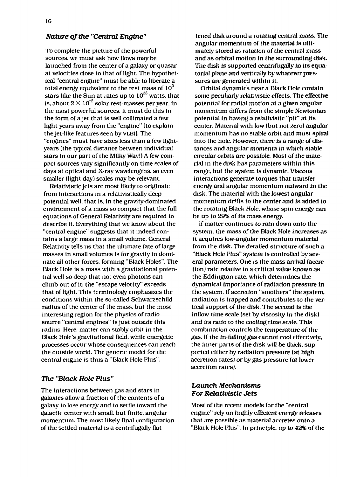#### *Nature of the "Central Engine"*

To complete the picture of the powerful sources, we must ask how flows may be launched from the center of a galaxy or quasar at velocities close to that of light. The hypothetical "central engine" must be able to liberate a total energy equivalent to the rest mass of  $10^5$ stars like the Sun at rates up to  $10^{38}$  watts, that is, about  $2\times$  10  $^2$  solar rest-masses per year, in the most powerful sources. It must do this in the form of a jet that is well collimated a few light-years away from the "engine" (to explain the jet-like features seen by VLBI). The "engines" must have sizes less than a few lightyears (the typical distance between individual stars in our part of the Milky Way!) A few comppct sources vary significantly on time scales of days at optical and X-ray wavelengths, so even smaller (light-day) scales may be relevant.

Relativistic jets are most likely to originate from interactions in a relativistically deep potential well, that is, in the gravity-dominated environment of a mass so compact that the full equations of General Relativity are required to describe it. Everything that we know about the "central engine" suggests that it indeed contains a large mass in a small volume. General Relativity tells us that the ultimate fate of large masses in small volumes is for gravity to dominate all other forces, forming "Black Holes". The Black Hole is a mass with a gravitational potential well so deep that not even photons can climb out of it; the "escape velocity" exceeds that of light. This terminology emphasizes the conditions within the so-called Schwarzschild radius of the center of the mass, but the most interesting region for the physics of radio source "central engines" is just outside this radius. Here, matter can stably orbit in the Black Hole's gravitational field, while energetic processes occur whose consequences can reach the outside world. The generic model for the central engine is thus a "Black Hole Plus".

#### *The "Black Hole Plus"*

The interactions between gas and stars in galaxies allow a fraction of the contents of a galaxy to lose energy and to settle toward the galactic center with small, but finite, angular momentum. The most likely final configuration of the settled material is a centrifugally flat-

tened disk around a rotating central mass. The angular momentum of the material is ultimately stored as rotation of the central mass and as orbital motion in the surrounding disk. The disk is supported centrifugally in its equatorial plane and vertically by whatever pressures are generated within It.

Orbital dynamics near a Black Hole contain some peculiarly relativistic effects. The effective potential for radial motion at a given angular momentum differs from the simple Newtonian potential in having a relativistic "pit" at its center. Material with low (but not zero) angular momentum has no stable orbit and must spiral into the hole. However, there is a range of distances and angular momenta in which stable circular orbits are possible. Most of the material in the disk has parameters within this range, but the system is dynamic. Viscous interactions generate torques that transfer energy and angular momentum outward in the disk. The material with the lowest angular momentum drifts *to* the center and is added to the rotating Black Hole, whose spin energy can be up to 29% of its mass energy.

If matter continues to rain down onto the system, the mass of the Black Hole increases as it acquires low-angular momentum material from the disk. The detailed structure of such a "Black Hole Plus" system is controlled by several parameters. *One* is the mass arrival (accretion) rate relative to a critical value known as the Eddington rate, which determines the dynamical importance of radiation pressure in the system. If accretion "smothers" the system, radiation is trapped and contributes *to* the vertical support of the disk. The second is the inflow time scale (set by viscosity in the disk) and its ratio to the cooling time scale. This combination controls the temperature of the gas. If the in-falling gas cannot cool effectively, the inner parts of the disk will be thick, supported either by radiation pressure (at high accretion rates) or by gas pressure (at lower accretion rates).

#### *Launch Mechanisms For Relativistic Jets*

Most of the recent models for the "central engine" rely on highly efficient energy releases that are possible as material accretes onto a "Black Hole Plus". In principle, up to 42% of the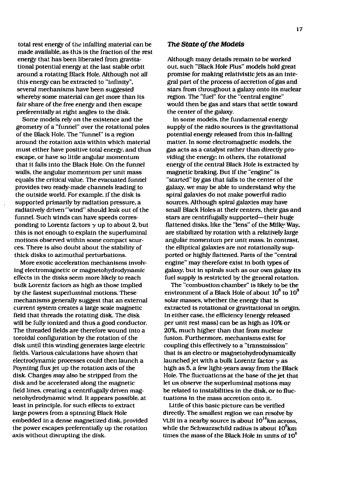total rest energy of the infalling material can be made available, as this is the fraction of the rest energy that has been liberated from gravitational potential energy at the last stable orbit around a rotating Black Hole. Although not all this energy can be extracted to "infinity", several mechanisms have been suggested whereby some material can get more than its fair share of the free energy and then escape preferentially at right angles to the disk.

Some models rely on the existence and the geometry of a "funnel" over the rotational poles of the Black Hole. The "funnel" is a region around the rotation axis within which material must either have positive total energy, and thus escape, or have so little angular momentum that it falls into the Black Hole. On the funnel walls, the angular momentum per unit mass equals the critical value. The evacuated funnel provides two ready-made channels leading to the outside world. For example, if the disk is supported primarily by radiation pressure, a radiatively driven'"wind" should leak out of the funnel. Such winds can have speeds corresponding to Lorentz factors  $\gamma$  up to about 2, but this is not enough to explain the superluminal motions observed within some compact sources. There is also doubt about the stability of thick disks to azimuthal perturbations.

More exotic acceleration mechanisms involving electromagnetic or magnetohydrodynamic effects in the disks seem more likely to reach bulk Lorentz factors as high as those implied by the fastest superluminal motions. These mechanisms generally suggest that an external current system creates a large scale magnetic field that threads the rotating disk. The disk will be fully ionized and thus a good conductor. The threaded fields are therefore wound into a toroidal configuration by the rotation of the disk until this winding generates large electric fields. Various calculations have shown that electrodynamic processes could then launch a Poynting flux jet up the rotation axis of the disk. Charges may also be stripped from the disk and be accelerated along the magnetic field lines, creating a centrifugally driven magnetohydrodynamic wind. It appears possible, at least in principle, for such effects to extract large powers from a spinning Black Hole embedded in a dense magnetized disk, provided the power escapes preferentially up the rotation axis without disrupting the disk.

#### *The State of the Models*

Although many details remain *to* be worked out, such "Black Hole Plus" models hold great promise for making relativistic jets as an integral part of the process of accretion of gas and stars from throughout a galaxy onto its nuclear region. The "fuel" for the "central engine" would then be gas and stars that settle toward the center of the galaxy.

In some models, the fundamental energy supply of the radio sources is the gravitational potential energy released from this in-falling matter. In some electromagnetic models, the gas acts as a catalyst rather than directly providing the energy: in others, the rotational energy of the central Black Hole is extracted by magnetic braking. But if the "engine" is "started" by gas that falls to the center of the galaxy, we may be able to understand why the spiral galaxies do not make powerful radio sources. Although spiral galaxies may have small Black Holes at their centers, their gas and stars are centrifugally supported—their huge flattened disks, like the "lens" of the Milky Way, are stabilized by rotation with a relatively large angular momentum per unit mass. In contrast, the elliptical galaxies are not rotationally supported or highly flattened. Parts of the "central engine" may therefore exist in both types of galaxy, but in spirals such as our own galaxy its fuel supply is restricted by the general rotation.

The "combustion chamber" is likely to be the  $\frac{1}{2}$  compassion channel to mely to be the environment of a Black Hole of about  $10^8$  to  $10^9$ solar masses, whether the energy that is extracted is rotational or gravitational in origin. In either case, the efficiency (energy released per unit rest mass) can be as high as 10% or 20%, much higher than that from nuclear fusion. Furthermore, mechanisms exist for coupling this effectively to a "transmission" that is an electro or magnetohydrodynamically launched jet with a bulk Lorentz factor *y* as high as 5. a few light-years away from the Black Hole. The fluctuations at the base of the jet that let us observe the superluminal motions may be related to instabilities in the disk, or to fluctuations in the mass accretion onto it.

Little of this basic picture can be verified directly. The smallest region we can resolve by VLBI in a nearby source is about  $10^{14}$ km across, while the Schwarzschild radius is about  $10^8$ km times the mass of the Black Hole in units of  $10^8$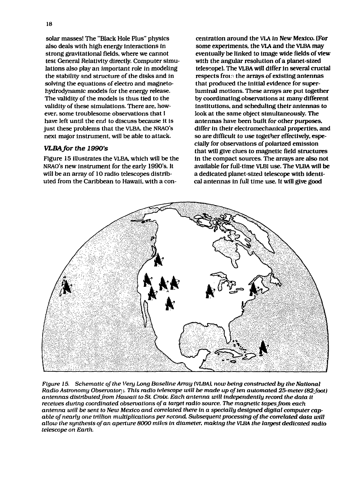solar masses! The "Black Hole Plus" physics also deals with high energy interactions in strong gravitational fields, where we cannot test General Relativity directly. Computer simulations also play an important role in modeling the stability and structure of the disks and in solving the equations of electro and magnetohydrodynarnic models for the energy release. The validity of the models is thus tied to the validity of these simulations. There are, however, some troublesome observations that I have left until the end to discuss because it is just these problems that the VLBA, the NRAO's next major instrument, will be able to attack.

#### *VLBA for the 1990's*

Figure 15 illustrates the VLBA. which will be the NRAO's new instrument for the early 1990's. It will be an array of 10 radio telescopes distributed from the Caribbean to Hawaii, with a con-

centration around the VLA in New Mexico. (For some experiments, the VLA and the VLBA may eventually be linked to image wide fields of view with the angular resolution of a planet-sized telescope). The VLBA will differ In several crucial respects from the arrays of existing antennas that produced the initial evidence for superluminal motions. These arrays are put together by coordinating observations at many different institutions, and scheduling their antennas to look at the same object simultaneously. The antennas have been built for other purposes, differ in their electromechanical properties, and so are difficult to use together effectively, especially for observations of polarized emission that will give clues to magnetic field structures in the compact sources. The arrays are also not available for fuil-time VLBI use. The VLBA will be a dedicated planet-sized telescope with identical antennas in full time use. It will give good



*Figure 15. Schematic of the Very Long Baseline Array (VLBA). now being constructed by the National Radio Astronomy Observaton* j. *This radio telescope will be made up often automated 25-meter (82foot) antennas distributed from Hawaii to St Croix. Each antenna will independently record the data it receives during coordinated observations of a target radio source. The magnetic tapesfrom each antenna will be sent to New Mexico and correlated there in a specially designed digital computer capable of nearly one trillion multiplications per second. Subsequent processing of the correlated data will allow the synthesis of an aperture 8000 miles in diameter, making the VLBA the largest dedicated radio telescope on Earth.*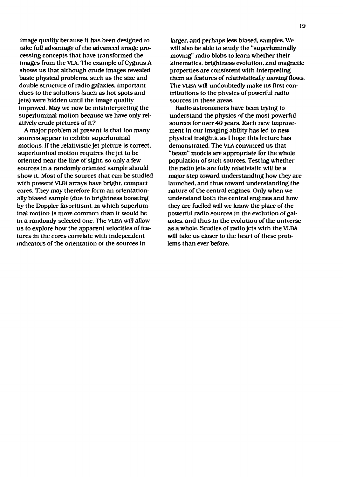image quality because it has been designed to take full advantage of the advanced Image processing concepts that have transformed the images from the VLA. The example of Cygnus A shows us that although crude images revealed basic physical problems, such as the size and double structure of radio galaxies, important clues to the solutions (such as hot spots and jets) were hidden until the image quality improved. May we now be misinterpreting the superluminal motion because we have only relatively crude pictures of it?

A major problem at present is that too many sources appear to exhibit superluminal motions. If the relativistic jet picture is correct, superluminal motion requires the jet to be oriented near the line of sight, so only a few sources in a randomly oriented sample should show it. Most of the sources that can be studied with present VLBI arrays have bright, compact cores. They may therefore form an orientationally biased sample (due to brightness boosting by the Doppler favoritism), in which superluminal motion is more common than it would be in a randomly-selected one. The VLBA will allow us to explore how the apparent velocities of features in the cores correlate with independent indicators of the orientation of the sources in

larger, and perhaps less biased, samples. We will also be able to study the "superluminally moving" radio blobs to learn whether their kinematics, brightness evolution, and magnetic properties are consistent with interpreting them as features of relativistically moving flows. The VLBA will undoubtedly make its first contributions to the physics of powerful radio sources in these areas.

Radio astronomers have been trying to understand the physics of the most powerful sources for over 40 years. Each new improvement in our imaging ability has led to new physical insights, as I hope this lecture has demonstrated. The VLA convinced us that "beam" models are appropriate for the whole population of such sources. Testing whether the radio jets are fully relativistic will be a major step toward understanding how they are launched, and thus toward understanding the nature of the central engines. Only when we understand both the central engines and how they are fuelled will we know the place of the powerful radio sources in the evolution of galaxies, and thus in the evolution of the universe as a whole. Studies of radio jets with the VLBA will take us closer to the heart of these problems than ever before.